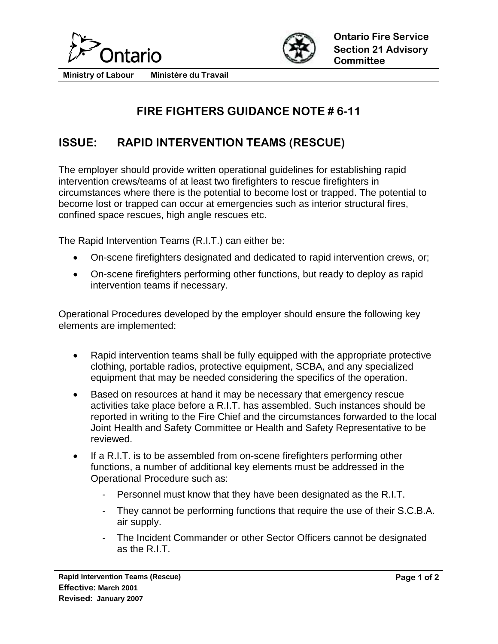



**Ministry of Labour Ministére du Travail** 

## **FIRE FIGHTERS GUIDANCE NOTE # 6-11**

## **ISSUE: RAPID INTERVENTION TEAMS (RESCUE)**

The employer should provide written operational guidelines for establishing rapid intervention crews/teams of at least two firefighters to rescue firefighters in circumstances where there is the potential to become lost or trapped. The potential to become lost or trapped can occur at emergencies such as interior structural fires, confined space rescues, high angle rescues etc.

The Rapid Intervention Teams (R.I.T.) can either be:

- On-scene firefighters designated and dedicated to rapid intervention crews, or;
- On-scene firefighters performing other functions, but ready to deploy as rapid intervention teams if necessary.

Operational Procedures developed by the employer should ensure the following key elements are implemented:

- Rapid intervention teams shall be fully equipped with the appropriate protective clothing, portable radios, protective equipment, SCBA, and any specialized equipment that may be needed considering the specifics of the operation.
- Based on resources at hand it may be necessary that emergency rescue activities take place before a R.I.T. has assembled. Such instances should be reported in writing to the Fire Chief and the circumstances forwarded to the local Joint Health and Safety Committee or Health and Safety Representative to be reviewed.
- If a R.I.T. is to be assembled from on-scene firefighters performing other functions, a number of additional key elements must be addressed in the Operational Procedure such as:
	- Personnel must know that they have been designated as the R.I.T.
	- They cannot be performing functions that require the use of their S.C.B.A. air supply.
	- The Incident Commander or other Sector Officers cannot be designated as the R.I.T.